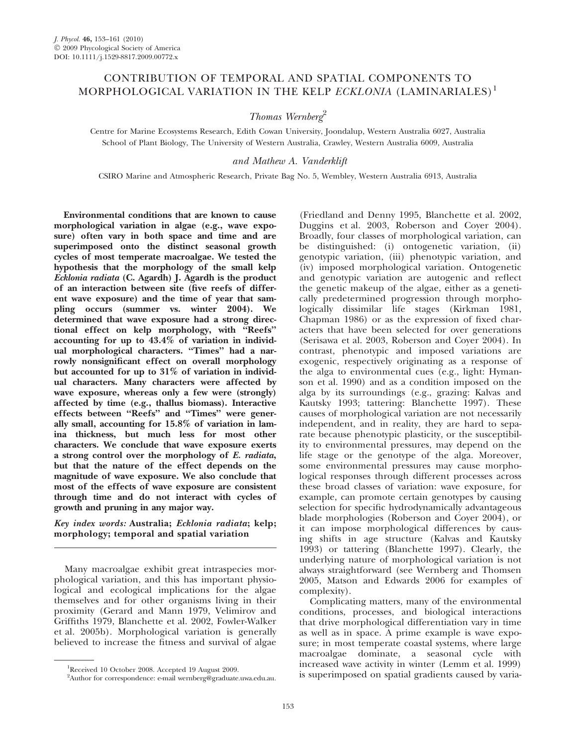## CONTRIBUTION OF TEMPORAL AND SPATIAL COMPONENTS TO MORPHOLOGICAL VARIATION IN THE KELP ECKLONIA (LAMINARIALES)<sup>1</sup>

Thomas Wernberg<sup>2</sup>

Centre for Marine Ecosystems Research, Edith Cowan University, Joondalup, Western Australia 6027, Australia School of Plant Biology, The University of Western Australia, Crawley, Western Australia 6009, Australia

and Mathew A. Vanderklift

CSIRO Marine and Atmospheric Research, Private Bag No. 5, Wembley, Western Australia 6913, Australia

Environmental conditions that are known to cause morphological variation in algae (e.g., wave exposure) often vary in both space and time and are superimposed onto the distinct seasonal growth cycles of most temperate macroalgae. We tested the hypothesis that the morphology of the small kelp Ecklonia radiata (C. Agardh) J. Agardh is the product of an interaction between site (five reefs of different wave exposure) and the time of year that sampling occurs (summer vs. winter 2004). We determined that wave exposure had a strong directional effect on kelp morphology, with ''Reefs'' accounting for up to 43.4% of variation in individual morphological characters. ''Times'' had a narrowly nonsignificant effect on overall morphology but accounted for up to 31% of variation in individual characters. Many characters were affected by wave exposure, whereas only a few were (strongly) affected by time (e.g., thallus biomass). Interactive effects between ''Reefs'' and ''Times'' were generally small, accounting for 15.8% of variation in lamina thickness, but much less for most other characters. We conclude that wave exposure exerts a strong control over the morphology of E. radiata, but that the nature of the effect depends on the magnitude of wave exposure. We also conclude that most of the effects of wave exposure are consistent through time and do not interact with cycles of growth and pruning in any major way.

Key index words: Australia; Ecklonia radiata; kelp; morphology; temporal and spatial variation

Many macroalgae exhibit great intraspecies morphological variation, and this has important physiological and ecological implications for the algae themselves and for other organisms living in their proximity (Gerard and Mann 1979, Velimirov and Griffiths 1979, Blanchette et al. 2002, Fowler-Walker et al. 2005b). Morphological variation is generally believed to increase the fitness and survival of algae (Friedland and Denny 1995, Blanchette et al. 2002, Duggins et al. 2003, Roberson and Coyer 2004). Broadly, four classes of morphological variation, can be distinguished: (i) ontogenetic variation, (ii) genotypic variation, (iii) phenotypic variation, and (iv) imposed morphological variation. Ontogenetic and genotypic variation are autogenic and reflect the genetic makeup of the algae, either as a genetically predetermined progression through morphologically dissimilar life stages (Kirkman 1981, Chapman 1986) or as the expression of fixed characters that have been selected for over generations (Serisawa et al. 2003, Roberson and Coyer 2004). In contrast, phenotypic and imposed variations are exogenic, respectively originating as a response of the alga to environmental cues (e.g., light: Hymanson et al. 1990) and as a condition imposed on the alga by its surroundings (e.g., grazing: Kalvas and Kautsky 1993; tattering: Blanchette 1997). These causes of morphological variation are not necessarily independent, and in reality, they are hard to separate because phenotypic plasticity, or the susceptibility to environmental pressures, may depend on the life stage or the genotype of the alga. Moreover, some environmental pressures may cause morphological responses through different processes across these broad classes of variation: wave exposure, for example, can promote certain genotypes by causing selection for specific hydrodynamically advantageous blade morphologies (Roberson and Coyer 2004), or it can impose morphological differences by causing shifts in age structure (Kalvas and Kautsky 1993) or tattering (Blanchette 1997). Clearly, the underlying nature of morphological variation is not always straightforward (see Wernberg and Thomsen 2005, Matson and Edwards 2006 for examples of complexity).

Complicating matters, many of the environmental conditions, processes, and biological interactions that drive morphological differentiation vary in time as well as in space. A prime example is wave exposure; in most temperate coastal systems, where large macroalgae dominate, a seasonal cycle with increased wave activity in winter (Lemm et al. 1999) is superimposed on spatial gradients caused by varia-

Received 10 October 2008. Accepted 19 August 2009.

<sup>&</sup>lt;sup>2</sup>Author for correspondence: e-mail wernberg@graduate.uwa.edu.au.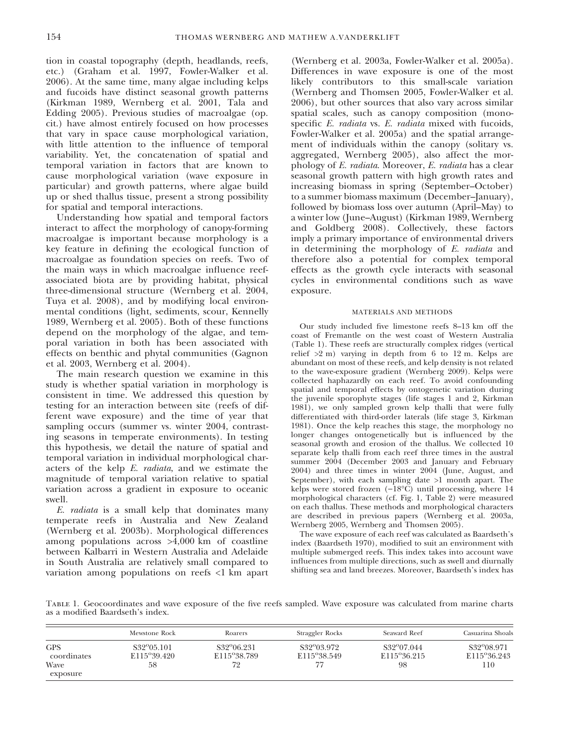tion in coastal topography (depth, headlands, reefs, etc.) (Graham et al. 1997, Fowler-Walker et al. 2006). At the same time, many algae including kelps and fucoids have distinct seasonal growth patterns (Kirkman 1989, Wernberg et al. 2001, Tala and Edding 2005). Previous studies of macroalgae (op. cit.) have almost entirely focused on how processes that vary in space cause morphological variation, with little attention to the influence of temporal variability. Yet, the concatenation of spatial and temporal variation in factors that are known to cause morphological variation (wave exposure in particular) and growth patterns, where algae build up or shed thallus tissue, present a strong possibility for spatial and temporal interactions.

Understanding how spatial and temporal factors interact to affect the morphology of canopy-forming macroalgae is important because morphology is a key feature in defining the ecological function of macroalgae as foundation species on reefs. Two of the main ways in which macroalgae influence reefassociated biota are by providing habitat, physical three-dimensional structure (Wernberg et al. 2004, Tuya et al. 2008), and by modifying local environmental conditions (light, sediments, scour, Kennelly 1989, Wernberg et al. 2005). Both of these functions depend on the morphology of the algae, and temporal variation in both has been associated with effects on benthic and phytal communities (Gagnon et al. 2003, Wernberg et al. 2004).

The main research question we examine in this study is whether spatial variation in morphology is consistent in time. We addressed this question by testing for an interaction between site (reefs of different wave exposure) and the time of year that sampling occurs (summer vs. winter 2004, contrasting seasons in temperate environments). In testing this hypothesis, we detail the nature of spatial and temporal variation in individual morphological characters of the kelp E. radiata, and we estimate the magnitude of temporal variation relative to spatial variation across a gradient in exposure to oceanic swell.

E. radiata is a small kelp that dominates many temperate reefs in Australia and New Zealand (Wernberg et al. 2003b). Morphological differences among populations across >4,000 km of coastline between Kalbarri in Western Australia and Adelaide in South Australia are relatively small compared to variation among populations on reefs <1 km apart

(Wernberg et al. 2003a, Fowler-Walker et al. 2005a). Differences in wave exposure is one of the most likely contributors to this small-scale variation (Wernberg and Thomsen 2005, Fowler-Walker et al. 2006), but other sources that also vary across similar spatial scales, such as canopy composition (monospecific E. radiata vs. E. radiata mixed with fucoids, Fowler-Walker et al. 2005a) and the spatial arrangement of individuals within the canopy (solitary vs. aggregated, Wernberg 2005), also affect the morphology of E. radiata. Moreover, E. radiata has a clear seasonal growth pattern with high growth rates and increasing biomass in spring (September–October) to a summer biomass maximum (December–January), followed by biomass loss over autumn (April–May) to a winter low (June–August) (Kirkman 1989, Wernberg and Goldberg 2008). Collectively, these factors imply a primary importance of environmental drivers in determining the morphology of E. radiata and therefore also a potential for complex temporal effects as the growth cycle interacts with seasonal cycles in environmental conditions such as wave exposure.

## MATERIALS AND METHODS

Our study included five limestone reefs 8–13 km off the coast of Fremantle on the west coast of Western Australia (Table 1). These reefs are structurally complex ridges (vertical relief >2 m) varying in depth from 6 to 12 m. Kelps are abundant on most of these reefs, and kelp density is not related to the wave-exposure gradient (Wernberg 2009). Kelps were collected haphazardly on each reef. To avoid confounding spatial and temporal effects by ontogenetic variation during the juvenile sporophyte stages (life stages 1 and 2, Kirkman 1981), we only sampled grown kelp thalli that were fully differentiated with third-order laterals (life stage 3, Kirkman 1981). Once the kelp reaches this stage, the morphology no longer changes ontogenetically but is influenced by the seasonal growth and erosion of the thallus. We collected 10 separate kelp thalli from each reef three times in the austral summer 2004 (December 2003 and January and February 2004) and three times in winter 2004 (June, August, and September), with each sampling date  $>1$  month apart. The kelps were stored frozen  $(-18^{\circ}\overline{C})$  until processing, where 14 morphological characters (cf. Fig. 1, Table 2) were measured on each thallus. These methods and morphological characters are described in previous papers (Wernberg et al. 2003a, Wernberg 2005, Wernberg and Thomsen 2005).

The wave exposure of each reef was calculated as Baardseth's index (Baardseth 1970), modified to suit an environment with multiple submerged reefs. This index takes into account wave influences from multiple directions, such as swell and diurnally shifting sea and land breezes. Moreover, Baardseth's index has

Table 1. Geocoordinates and wave exposure of the five reefs sampled. Wave exposure was calculated from marine charts as a modified Baardseth's index.

|                                               | Mewstone Rock                            | Roarers                                  | Straggler Rocks                        | Seaward Reef                                 | Casuarina Shoals                              |
|-----------------------------------------------|------------------------------------------|------------------------------------------|----------------------------------------|----------------------------------------------|-----------------------------------------------|
| <b>GPS</b><br>coordinates<br>Wave<br>exposure | $S32^{\circ}05.101$<br>E115°39.420<br>58 | $S32^{\circ}06.231$<br>E115°38.789<br>72 | S32 <sup>o</sup> 03.972<br>E115°38.549 | S32 <sup>o</sup> 07.044<br>E115°36.215<br>98 | S32 <sup>o</sup> 08.971<br>E115°36.243<br>110 |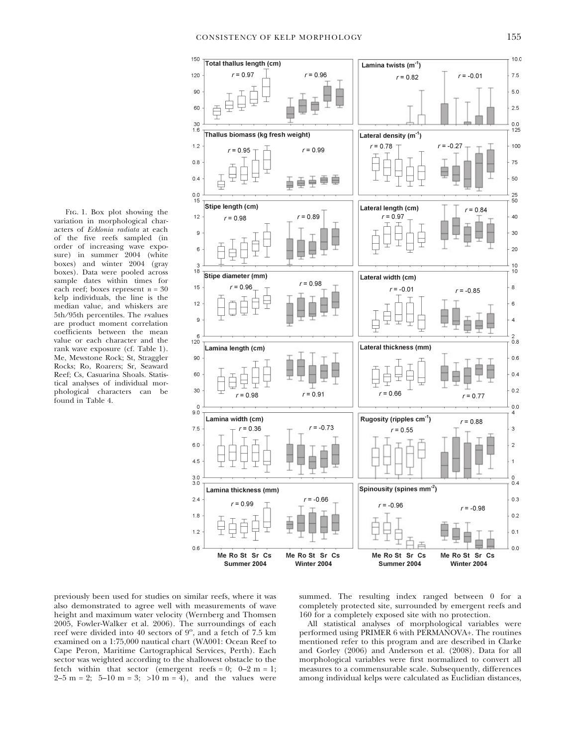Fig. 1. Box plot showing the variation in morphological characters of Ecklonia radiata at each of the five reefs sampled (in order of increasing wave exposure) in summer 2004 (white boxes) and winter 2004 (gray boxes). Data were pooled across sample dates within times for each reef; boxes represent  $n = 30$ kelp individuals, the line is the median value, and whiskers are 5th/95th percentiles. The r-values are product moment correlation coefficients between the mean value or each character and the rank wave exposure (cf. Table 1). Me, Mewstone Rock; St, Straggler Rocks; Ro, Roarers; Sr, Seaward Reef; Cs, Casuarina Shoals. Statistical analyses of individual morphological characters can be found in Table 4.



previously been used for studies on similar reefs, where it was also demonstrated to agree well with measurements of wave height and maximum water velocity (Wernberg and Thomsen 2005, Fowler-Walker et al. 2006). The surroundings of each reef were divided into 40 sectors of  $9^\circ$ , and a fetch of 7.5 km examined on a 1:75,000 nautical chart (WA001: Ocean Reef to Cape Peron, Maritime Cartographical Services, Perth). Each sector was weighted according to the shallowest obstacle to the fetch within that sector (emergent reefs =  $0$ ;  $0-2$  m = 1;  $2-5$  m = 2; 5–10 m = 3; >10 m = 4), and the values were

summed. The resulting index ranged between 0 for a completely protected site, surrounded by emergent reefs and 160 for a completely exposed site with no protection.

All statistical analyses of morphological variables were performed using PRIMER 6 with PERMANOVA+. The routines mentioned refer to this program and are described in Clarke and Gorley (2006) and Anderson et al. (2008). Data for all morphological variables were first normalized to convert all measures to a commensurable scale. Subsequently, differences among individual kelps were calculated as Euclidian distances,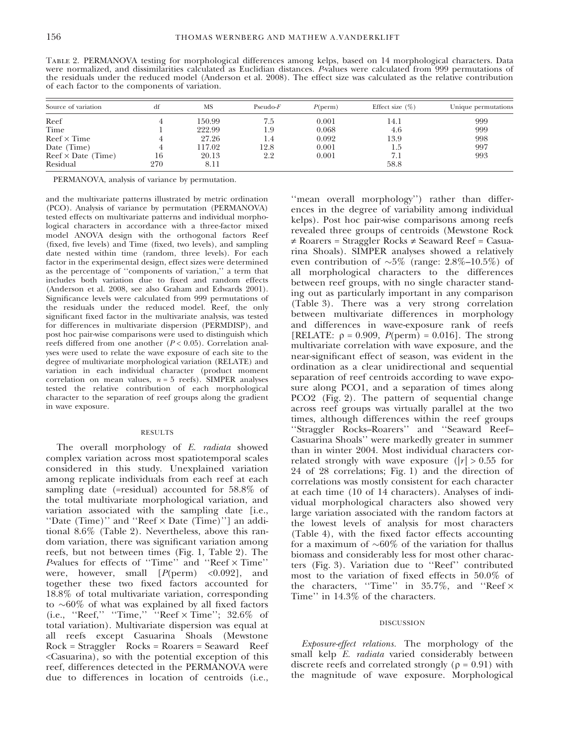| TABLE 2. PERMANOVA testing for morphological differences among kelps, based on 14 morphological characters. Data          |  |
|---------------------------------------------------------------------------------------------------------------------------|--|
| were normalized, and dissimilarities calculated as Euclidian distances. Pvalues were calculated from 999 permutations of  |  |
| the residuals under the reduced model (Anderson et al. 2008). The effect size was calculated as the relative contribution |  |
| of each factor to the components of variation.                                                                            |  |

| Source of variation                     |     | MS     | $Pseudo-F$ | $P(\text{perm})$ | Effect size $(\%)$ | Unique permutations |  |
|-----------------------------------------|-----|--------|------------|------------------|--------------------|---------------------|--|
| Reef                                    |     | 150.99 | 7.5        | 0.001            | 14.1               | 999                 |  |
| Time                                    |     | 222.99 | 1.9        | 0.068            | 4.6                | 999                 |  |
| $Reef \times Time$                      |     | 27.26  |            | 0.092            | 13.9               | 998                 |  |
| Date (Time)                             |     | 117.02 | 12.8       | 0.001            | 1.5                | 997                 |  |
| $\text{Reef} \times \text{Date}$ (Time) | 16  | 20.13  | 2.2        | 0.001            | 7.1                | 993                 |  |
| Residual                                | 270 | 8.11   |            |                  | 58.8               |                     |  |

PERMANOVA, analysis of variance by permutation.

and the multivariate patterns illustrated by metric ordination (PCO). Analysis of variance by permutation (PERMANOVA) tested effects on multivariate patterns and individual morphological characters in accordance with a three-factor mixed model ANOVA design with the orthogonal factors Reef (fixed, five levels) and Time (fixed, two levels), and sampling date nested within time (random, three levels). For each factor in the experimental design, effect sizes were determined as the percentage of ''components of variation,'' a term that includes both variation due to fixed and random effects (Anderson et al. 2008, see also Graham and Edwards 2001). Significance levels were calculated from 999 permutations of the residuals under the reduced model. Reef, the only significant fixed factor in the multivariate analysis, was tested for differences in multivariate dispersion (PERMDISP), and post hoc pair-wise comparisons were used to distinguish which reefs differed from one another  $(P < 0.05)$ . Correlation analyses were used to relate the wave exposure of each site to the degree of multivariate morphological variation (RELATE) and variation in each individual character (product moment correlation on mean values,  $n = 5$  reefs). SIMPER analyses tested the relative contribution of each morphological character to the separation of reef groups along the gradient in wave exposure.

## RESULTS

The overall morphology of E. radiata showed complex variation across most spatiotemporal scales considered in this study. Unexplained variation among replicate individuals from each reef at each sampling date (=residual) accounted for 58.8% of the total multivariate morphological variation, and variation associated with the sampling date [i.e., "Date (Time)" and "Reef  $\times$  Date (Time)"] an additional 8.6% (Table 2). Nevertheless, above this random variation, there was significant variation among reefs, but not between times (Fig. 1, Table 2). The P-values for effects of "Time" and "Reef  $\times$  Time" were, however, small  $[P(\text{perm}) \prec 0.092]$ , and together these two fixed factors accounted for 18.8% of total multivariate variation, corresponding to  ${\sim}60\%$  of what was explained by all fixed factors  $(i.e., 'Reef,' 'Time,' 'Reef × Time'; 32.6% of$ total variation). Multivariate dispersion was equal at all reefs except Casuarina Shoals (Mewstone Rock = Straggler Rocks = Roarers = Seaward Reef <Casuarina), so with the potential exception of this reef, differences detected in the PERMANOVA were due to differences in location of centroids (i.e.,

''mean overall morphology'') rather than differences in the degree of variability among individual kelps). Post hoc pair-wise comparisons among reefs revealed three groups of centroids (Mewstone Rock  $\neq$  Roarers = Straggler Rocks  $\neq$  Seaward Reef = Casuarina Shoals). SIMPER analyses showed a relatively even contribution of  $\sim 5\%$  (range: 2.8%–10.5%) of all morphological characters to the differences between reef groups, with no single character standing out as particularly important in any comparison (Table 3). There was a very strong correlation between multivariate differences in morphology and differences in wave-exposure rank of reefs [RELATE:  $\rho = 0.909$ ,  $P(\text{perm}) = 0.016$ ]. The strong multivariate correlation with wave exposure, and the near-significant effect of season, was evident in the ordination as a clear unidirectional and sequential separation of reef centroids according to wave exposure along PCO1, and a separation of times along PCO2 (Fig. 2). The pattern of sequential change across reef groups was virtually parallel at the two times, although differences within the reef groups ''Straggler Rocks–Roarers'' and ''Seaward Reef– Casuarina Shoals'' were markedly greater in summer than in winter 2004. Most individual characters correlated strongly with wave exposure ( $|r| > 0.55$  for 24 of 28 correlations; Fig. 1) and the direction of correlations was mostly consistent for each character at each time (10 of 14 characters). Analyses of individual morphological characters also showed very large variation associated with the random factors at the lowest levels of analysis for most characters (Table 4), with the fixed factor effects accounting for a maximum of  $\sim 60\%$  of the variation for thallus biomass and considerably less for most other characters (Fig. 3). Variation due to ''Reef'' contributed most to the variation of fixed effects in 50.0% of the characters, "Time" in  $35.7\%$ , and "Reef  $\times$ Time'' in 14.3% of the characters.

## DISCUSSION

Exposure-effect relations. The morphology of the small kelp E. radiata varied considerably between discrete reefs and correlated strongly ( $\rho = 0.91$ ) with the magnitude of wave exposure. Morphological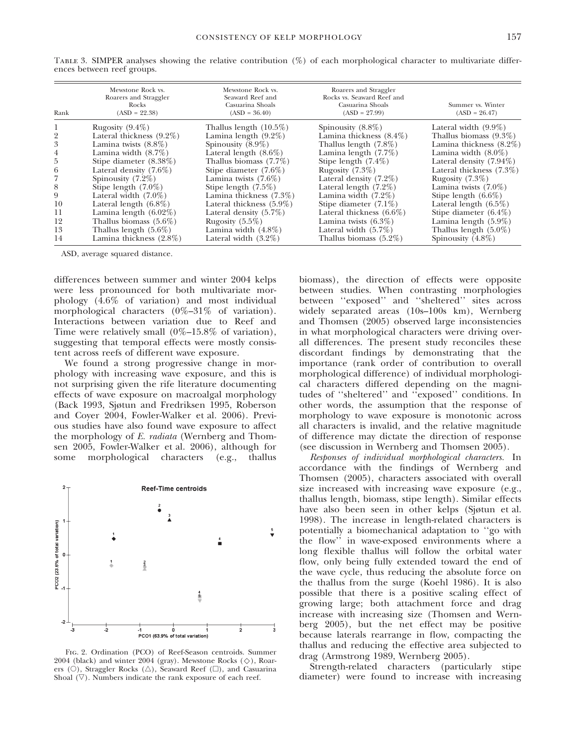| Rank           | Mewstone Rock vs.<br>Roarers and Straggler<br>Rocks<br>$(ASD = 22.38)$ | Mewstone Rock vs.<br>Seaward Reef and<br>Casuarina Shoals<br>$(ASD = 36.40)$ | Roarers and Straggler<br>Rocks vs. Seaward Reef and<br>Casuarina Shoals<br>$(ASD = 27.99)$ | Summer vs. Winter<br>$(ASD = 26.47)$ |
|----------------|------------------------------------------------------------------------|------------------------------------------------------------------------------|--------------------------------------------------------------------------------------------|--------------------------------------|
|                | Rugosity $(9.4\%)$                                                     | Thallus length $(10.5\%)$                                                    | Spinousity $(8.8\%)$                                                                       | Lateral width $(9.9\%)$              |
| $\overline{2}$ | Lateral thickness $(9.2\%)$                                            | Lamina length $(9.2\%)$                                                      | Lamina thickness $(8.4\%)$                                                                 | Thallus biomass $(9.3\%)$            |
| 3              | Lamina twists $(8.8\%)$                                                | Spinousity $(8.9\%)$                                                         | Thallus length $(7.8\%)$                                                                   | Lamina thickness $(8.2\%)$           |
| 4              | Lamina width $(8.7\%)$                                                 | Lateral length $(8.6\%)$                                                     | Lamina length $(7.7%)$                                                                     | Lamina width $(8.0\%)$               |
| 5              | Stipe diameter $(8.38\%)$                                              | Thallus biomass $(7.7\%)$                                                    | Stipe length $(7.4\%)$                                                                     | Lateral density $(7.94\%)$           |
| 6              | Lateral density $(7.6\%)$                                              | Stipe diameter $(7.6\%)$                                                     | Rugosity $(7.3\%)$                                                                         | Lateral thickness $(7.3\%)$          |
|                | Spinousity $(7.2\%)$                                                   | Lamina twists $(7.6\%)$                                                      | Lateral density $(7.2\%)$                                                                  | Rugosity $(7.3\%)$                   |
| 8              | Stipe length $(7.0\%)$                                                 | Stipe length $(7.5\%)$                                                       | Lateral length $(7.2\%)$                                                                   | Lamina twists $(7.0\%)$              |
| 9              | Lateral width $(7.0\%)$                                                | Lamina thickness $(7.3\%)$                                                   | Lamina width $(7.2\%)$                                                                     | Stipe length $(6.6\%)$               |
| 10             | Lateral length $(6.8\%)$                                               | Lateral thickness $(5.9\%)$                                                  | Stipe diameter $(7.1\%)$                                                                   | Lateral length $(6.5\%)$             |
| 11             | Lamina length $(6.02\%)$                                               | Lateral density $(5.7\%)$                                                    | Lateral thickness $(6.6\%)$                                                                | Stipe diameter $(6.4\%)$             |
| 12             | Thallus biomass $(5.6\%)$                                              | Rugosity $(5.5\%)$                                                           | Lamina twists $(6.3\%)$                                                                    | Lamina length $(5.9\%)$              |
| 13             | Thallus length $(5.6\%)$                                               | Lamina width $(4.8\%)$                                                       | Lateral width $(5.7%)$                                                                     | Thallus length $(5.0\%)$             |
| 14             | Lamina thickness $(2.8\%)$                                             | Lateral width $(3.2\%)$                                                      | Thallus biomass $(5.2\%)$                                                                  | Spinousity $(4.8\%)$                 |

Table 3. SIMPER analyses showing the relative contribution (%) of each morphological character to multivariate differences between reef groups.

ASD, average squared distance.

differences between summer and winter 2004 kelps were less pronounced for both multivariate morphology (4.6% of variation) and most individual morphological characters (0%–31% of variation). Interactions between variation due to Reef and Time were relatively small (0%–15.8% of variation), suggesting that temporal effects were mostly consistent across reefs of different wave exposure.

We found a strong progressive change in morphology with increasing wave exposure, and this is not surprising given the rife literature documenting effects of wave exposure on macroalgal morphology (Back 1993, Sjøtun and Fredriksen 1995, Roberson and Coyer 2004, Fowler-Walker et al. 2006). Previous studies have also found wave exposure to affect the morphology of E. radiata (Wernberg and Thomsen 2005, Fowler-Walker et al. 2006), although for some morphological characters (e.g., thallus



Fig. 2. Ordination (PCO) of Reef-Season centroids. Summer 2004 (black) and winter 2004 (gray). Mewstone Rocks  $(\diamondsuit)$ , Roarers (O), Straggler Rocks ( $\triangle$ ), Seaward Reef ( $\square$ ), and Casuarina Shoal  $(\nabla)$ . Numbers indicate the rank exposure of each reef.

biomass), the direction of effects were opposite between studies. When contrasting morphologies between ''exposed'' and ''sheltered'' sites across widely separated areas (10s–100s km), Wernberg and Thomsen (2005) observed large inconsistencies in what morphological characters were driving overall differences. The present study reconciles these discordant findings by demonstrating that the importance (rank order of contribution to overall morphological difference) of individual morphological characters differed depending on the magnitudes of ''sheltered'' and ''exposed'' conditions. In other words, the assumption that the response of morphology to wave exposure is monotonic across all characters is invalid, and the relative magnitude of difference may dictate the direction of response (see discussion in Wernberg and Thomsen 2005).

Responses of individual morphological characters. In accordance with the findings of Wernberg and Thomsen (2005), characters associated with overall size increased with increasing wave exposure (e.g., thallus length, biomass, stipe length). Similar effects have also been seen in other kelps (Sjøtun et al. 1998). The increase in length-related characters is potentially a biomechanical adaptation to ''go with the flow'' in wave-exposed environments where a long flexible thallus will follow the orbital water flow, only being fully extended toward the end of the wave cycle, thus reducing the absolute force on the thallus from the surge (Koehl 1986). It is also possible that there is a positive scaling effect of growing large; both attachment force and drag increase with increasing size (Thomsen and Wernberg 2005), but the net effect may be positive because laterals rearrange in flow, compacting the thallus and reducing the effective area subjected to drag (Armstrong 1989, Wernberg 2005).

Strength-related characters (particularly stipe diameter) were found to increase with increasing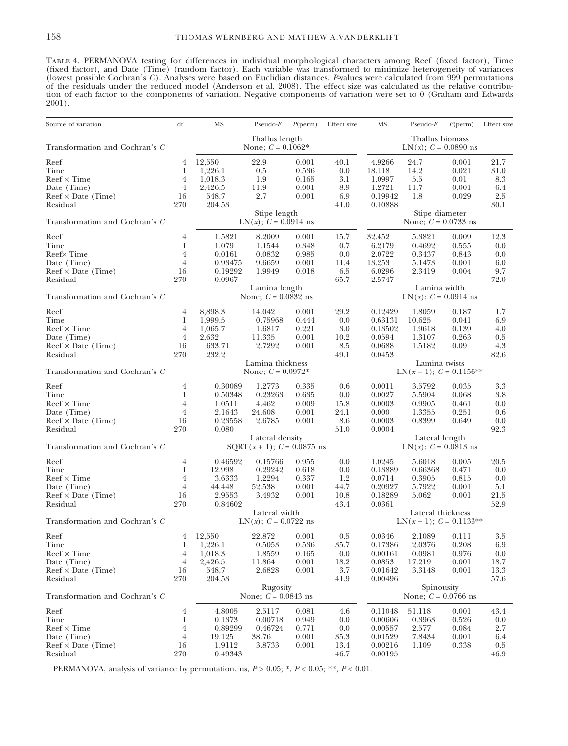Table 4. PERMANOVA testing for differences in individual morphological characters among Reef (fixed factor), Time (fixed factor), and Date (Time) (random factor). Each variable was transformed to minimize heterogeneity of variances (lowest possible Cochran's C). Analyses were based on Euclidian distances. P-values were calculated from 999 permutations of the residuals under the reduced model (Anderson et al. 2008). The effect size was calculated as the relative contribution of each factor to the components of variation. Negative components of variation were set to 0 (Graham and Edwards 2001).

| Source of variation            | df                                                          | MS                                        | $Pseudo-F$                              | $P(\text{perm})$       | Effect size                         | MS                                         | $Pseudo-F$      | $P(\text{perm})$ | Effect size |  |
|--------------------------------|-------------------------------------------------------------|-------------------------------------------|-----------------------------------------|------------------------|-------------------------------------|--------------------------------------------|-----------------|------------------|-------------|--|
|                                |                                                             |                                           | Thallus length                          |                        |                                     |                                            | Thallus biomass |                  |             |  |
| Transformation and Cochran's C |                                                             | None; $C = 0.1062*$                       |                                         |                        |                                     | LN $(x)$ ; $C = 0.0890$ ns                 |                 |                  |             |  |
| Reef                           | 4                                                           | 12,550                                    | 22.9                                    | 0.001                  | 40.1                                | 4.9266                                     | 24.7            | 0.001            | 21.7        |  |
| Time                           | 1                                                           | 1,226.1                                   | 0.5                                     | 0.536                  | 0.0                                 | 18.118                                     | 14.2            | 0.021            | 31.0        |  |
| $Reef \times Time$             | $\overline{4}$                                              | 1,018.3                                   | 1.9                                     | 0.165                  | 3.1                                 | 1.0997                                     | 5.5             | 0.01             | 8.3         |  |
| Date (Time)                    | $\overline{4}$                                              | 2,426.5                                   | 11.9                                    | 0.001                  | 8.9                                 | 1.2721                                     | 11.7            | 0.001            | 6.4         |  |
| $Reef \times Date$ (Time)      | 16                                                          | 548.7                                     | 2.7                                     | 0.001                  | 6.9                                 | 0.19942                                    | 1.8             | 0.029            | 2.5         |  |
| Residual                       | 270                                                         | 204.53                                    |                                         |                        | 41.0                                | 0.10888                                    |                 |                  | 30.1        |  |
| Transformation and Cochran's C |                                                             | Stipe length<br>$LN(x)$ ; $C = 0.0914$ ns |                                         |                        |                                     | Stipe diameter<br>None; $C = 0.0733$ ns    |                 |                  |             |  |
| Reef                           | $\overline{4}$                                              | 1.5821                                    | 8.2009                                  | 0.001                  | 15.7                                | 32.452                                     | 5.3821          | 0.009            | 12.3        |  |
| Time                           | 1                                                           | 1.079                                     | 1.1544                                  | 0.348                  | 0.7                                 | 6.2179                                     | 0.4692          | 0.555            | 0.0         |  |
| Reef $\times$ Time             | $\overline{4}$                                              | 0.0161                                    | 0.0832                                  | 0.985                  | 0.0                                 | 2.0722                                     | 0.3437          | 0.843            | 0.0         |  |
| Date (Time)                    | $\overline{4}$                                              | 0.93475                                   | 9.6659                                  | 0.001                  | 11.4                                | 13.253                                     | 5.1473          | 0.001            | 6.0         |  |
| $Reef \times Date$ (Time)      | 16                                                          | 0.19292                                   | 1.9949                                  | 0.018                  | 6.5                                 | 6.0296                                     | 2.3419          | 0.004            | 9.7         |  |
| Residual                       | 270                                                         | 0.0967                                    |                                         |                        | 65.7                                | 2.5747                                     |                 |                  | 72.0        |  |
|                                |                                                             |                                           | Lamina length                           |                        |                                     |                                            | Lamina width    |                  |             |  |
| Transformation and Cochran's C |                                                             |                                           | None; $C = 0.0832$ ns                   | LN(x); $C = 0.0914$ ns |                                     |                                            |                 |                  |             |  |
| Reef                           | 4                                                           | 8,898.3                                   | 14.042                                  | 0.001                  | 29.2                                | 0.12429                                    | 1.8059          | 0.187            | 1.7         |  |
| Time                           | 1                                                           | 1,999.5                                   | 0.75968                                 | 0.444                  | 0.0                                 | 0.63131                                    | 10.625          | 0.041            | 6.9         |  |
| $Reef \times Time$             | $\overline{4}$                                              | 1,065.7                                   | 1.6817                                  | 0.221                  | 3.0                                 | 0.13502                                    | 1.9618          | 0.139            | 4.0         |  |
| Date (Time)                    | $\overline{4}$                                              | 2,632                                     | 11.335                                  | 0.001                  | 10.2                                | 0.0594                                     | 1.3107          | 0.263            | 0.5         |  |
| $Reef \times Date$ (Time)      | 16                                                          | 633.71                                    | 2.7292                                  | 0.001                  | 8.5                                 | 0.0688                                     | 1.5182          | 0.09             | 4.3         |  |
| Residual                       | 270                                                         | 232.2                                     |                                         |                        | 49.1                                | 0.0453                                     |                 |                  | 82.6        |  |
| Transformation and Cochran's C |                                                             |                                           | Lamina thickness<br>None; $C = 0.0972*$ |                        |                                     | Lamina twists<br>$LN(x + 1); C = 0.1156**$ |                 |                  |             |  |
| Reef                           | 4                                                           | 0.30089                                   | 1.2773                                  | 0.335                  | 0.6                                 | 0.0011                                     | 3.5792          | 0.035            | 3.3         |  |
| Time                           | 1                                                           | 0.50348                                   | 0.23263                                 | 0.635                  | 0.0                                 | 0.0027                                     | 5.5904          | 0.068            | 3.8         |  |
| $Reef \times Time$             | $\overline{4}$                                              | 1.0511                                    | 4.462                                   | 0.009                  | 15.8                                | 0.0003                                     | 0.9905          | 0.461            | 0.0         |  |
| Date (Time)                    | $\overline{4}$                                              | 2.1643                                    | 24.608                                  | 0.001                  | 24.1                                | 0.000                                      | 1.3355          | 0.251            | 0.6         |  |
| $Reef \times Date$ (Time)      | 16                                                          | 0.23558                                   | 2.6785                                  | 0.001                  | 8.6                                 | 0.0003                                     | 0.8399          | 0.649            | 0.0         |  |
| Residual                       | 270                                                         | 0.080                                     |                                         |                        | 51.0                                | 0.0004                                     |                 |                  | 92.3        |  |
|                                |                                                             |                                           | Lateral density                         |                        |                                     |                                            | Lateral length  |                  |             |  |
| Transformation and Cochran's C |                                                             |                                           | $SQRT(x + 1); C = 0.0875$ ns            |                        |                                     | LN(x); $C = 0.0813$ ns                     |                 |                  |             |  |
| Reef                           | 4                                                           | 0.46592                                   | 0.15766                                 | 0.955                  | 0.0                                 | 1.0245                                     | 5.6018          | 0.005            | 20.5        |  |
| Time                           | 1                                                           | 12.998                                    | 0.29242                                 | 0.618                  | 0.0                                 | 0.13889                                    | 0.66368         | 0.471            | 0.0         |  |
| $Reef \times Time$             | $\overline{4}$                                              | 3.6333                                    | 1.2294                                  | 0.337                  | 1.2                                 | 0.0714                                     | 0.3905          | 0.815            | 0.0         |  |
| Date (Time)                    | $\overline{4}$                                              | 44.448                                    | 52.538                                  | 0.001                  | 44.7                                | 0.20927                                    | 5.7922          | 0.001            | 5.1         |  |
| $Reef \times Date$ (Time)      | 16                                                          | 2.9553                                    | 3.4932                                  | 0.001                  | 10.8                                | 0.18289                                    | 5.062           | 0.001            | 21.5        |  |
| Residual                       | 270                                                         | 0.84602                                   |                                         |                        | 43.4                                | 0.0361                                     |                 |                  | 52.9        |  |
|                                |                                                             |                                           | Lateral width                           |                        |                                     | Lateral thickness                          |                 |                  |             |  |
|                                | Transformation and Cochran's C<br>$LN(x)$ ; $C = 0.0722$ ns |                                           |                                         |                        | $LN(x + 1); C = 0.1133**$           |                                            |                 |                  |             |  |
| Reef                           | 4                                                           | 12,550                                    | 22.872                                  | 0.001                  | 0.5                                 | 0.0346                                     | 2.1089          | 0.111            | 3.5         |  |
| Time                           | 1                                                           | 1,226.1                                   | 0.5053                                  | 0.536                  | 35.7                                | 0.17386                                    | 2.0376          | 0.208            | 6.9         |  |
| $Reef \times Time$             | $\overline{4}$                                              | 1,018.3                                   | 1.8559                                  | 0.165                  | 0.0                                 | 0.00161                                    | 0.0981          | 0.976            | 0.0         |  |
| Date (Time)                    | $\overline{4}$                                              | 2,426.5                                   | 11.864                                  | 0.001                  | 18.2                                | 0.0853                                     | 17.219          | 0.001            | 18.7        |  |
| $Reef \times Date$ (Time)      | 16                                                          | 548.7                                     | 2.6828                                  | 0.001                  | $3.7\,$                             | 0.01642                                    | 3.3148          | 0.001            | 13.3        |  |
| Residual                       | 270                                                         | 204.53                                    |                                         |                        | 41.9                                | 0.00496                                    |                 |                  | 57.6        |  |
| Transformation and Cochran's C |                                                             | Rugosity<br>None; $C = 0.0843$ ns         |                                         |                        | Spinousity<br>None; $C = 0.0766$ ns |                                            |                 |                  |             |  |
| Reef                           | $\overline{4}$                                              | 4.8005                                    | 2.5117                                  | 0.081                  | 4.6                                 | 0.11048                                    | 51.118          | 0.001            | 43.4        |  |
| Time                           | 1                                                           | 0.1373                                    | 0.00718                                 | 0.949                  | 0.0                                 | 0.00606                                    | 0.3963          | 0.526            | 0.0         |  |
| $Reef \times Time$             | 4                                                           | 0.89299                                   | 0.46724                                 | 0.771                  | 0.0                                 | 0.00557                                    | 2.577           | 0.084            | 2.7         |  |
| Date (Time)                    | $\overline{4}$                                              | 19.125                                    | 38.76                                   | 0.001                  | 35.3                                | 0.01529                                    | 7.8434          | 0.001            | 6.4         |  |
| $Reef \times Date$ (Time)      | 16                                                          | 1.9112                                    | 3.8733                                  | 0.001                  | 13.4                                | 0.00216                                    | 1.109           | 0.338            | 0.5         |  |
| Residual                       | 270                                                         | 0.49343                                   |                                         |                        | 46.7                                | 0.00195                                    |                 |                  | 46.9        |  |

PERMANOVA, analysis of variance by permutation. ns,  $P > 0.05$ ; \*,  $P < 0.05$ ; \*\*,  $P < 0.01$ .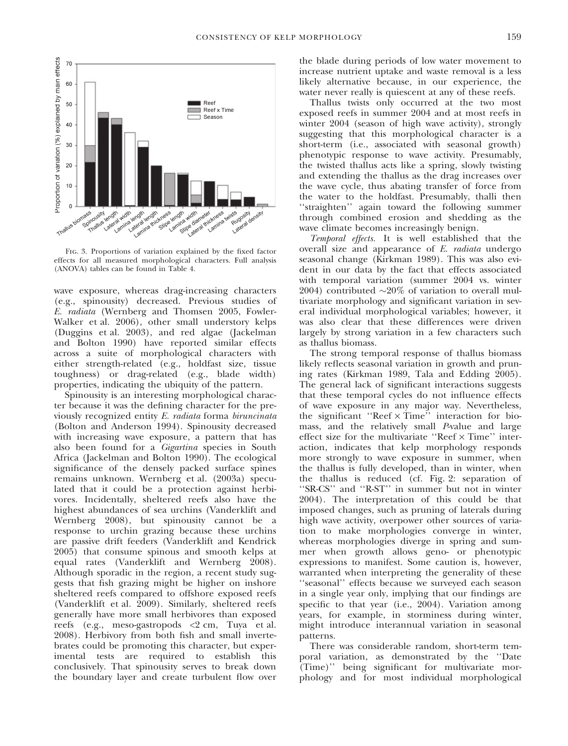

Fig. 3. Proportions of variation explained by the fixed factor effects for all measured morphological characters. Full analysis (ANOVA) tables can be found in Table 4.

wave exposure, whereas drag-increasing characters (e.g., spinousity) decreased. Previous studies of E. radiata (Wernberg and Thomsen 2005, Fowler-Walker et al. 2006), other small understory kelps (Duggins et al. 2003), and red algae (Jackelman and Bolton 1990) have reported similar effects across a suite of morphological characters with either strength-related (e.g., holdfast size, tissue toughness) or drag-related (e.g., blade width) properties, indicating the ubiquity of the pattern.

Spinousity is an interesting morphological character because it was the defining character for the previously recognized entity E. radiata forma biruncinata (Bolton and Anderson 1994). Spinousity decreased with increasing wave exposure, a pattern that has also been found for a Gigartina species in South Africa (Jackelman and Bolton 1990). The ecological significance of the densely packed surface spines remains unknown. Wernberg et al. (2003a) speculated that it could be a protection against herbivores. Incidentally, sheltered reefs also have the highest abundances of sea urchins (Vanderklift and Wernberg 2008), but spinousity cannot be a response to urchin grazing because these urchins are passive drift feeders (Vanderklift and Kendrick 2005) that consume spinous and smooth kelps at equal rates (Vanderklift and Wernberg 2008). Although sporadic in the region, a recent study suggests that fish grazing might be higher on inshore sheltered reefs compared to offshore exposed reefs (Vanderklift et al. 2009). Similarly, sheltered reefs generally have more small herbivores than exposed reefs (e.g., meso-gastropods <2 cm, Tuya et al. 2008). Herbivory from both fish and small invertebrates could be promoting this character, but experimental tests are required to establish this conclusively. That spinousity serves to break down the boundary layer and create turbulent flow over the blade during periods of low water movement to increase nutrient uptake and waste removal is a less likely alternative because, in our experience, the water never really is quiescent at any of these reefs.

Thallus twists only occurred at the two most exposed reefs in summer 2004 and at most reefs in winter 2004 (season of high wave activity), strongly suggesting that this morphological character is a short-term (i.e., associated with seasonal growth) phenotypic response to wave activity. Presumably, the twisted thallus acts like a spring, slowly twisting and extending the thallus as the drag increases over the wave cycle, thus abating transfer of force from the water to the holdfast. Presumably, thalli then ''straighten'' again toward the following summer through combined erosion and shedding as the wave climate becomes increasingly benign.

Temporal effects. It is well established that the overall size and appearance of E. radiata undergo seasonal change (Kirkman 1989). This was also evident in our data by the fact that effects associated with temporal variation (summer 2004 vs. winter 2004) contributed  $\sim$ 20% of variation to overall multivariate morphology and significant variation in several individual morphological variables; however, it was also clear that these differences were driven largely by strong variation in a few characters such as thallus biomass.

The strong temporal response of thallus biomass likely reflects seasonal variation in growth and pruning rates (Kirkman 1989, Tala and Edding 2005). The general lack of significant interactions suggests that these temporal cycles do not influence effects of wave exposure in any major way. Nevertheless, the significant "Reef  $\times$  Time" interaction for biomass, and the relatively small P-value and large effect size for the multivariate "Reef  $\times$  Time" interaction, indicates that kelp morphology responds more strongly to wave exposure in summer, when the thallus is fully developed, than in winter, when the thallus is reduced (cf. Fig. 2: separation of ''SR-CS'' and ''R-ST'' in summer but not in winter 2004). The interpretation of this could be that imposed changes, such as pruning of laterals during high wave activity, overpower other sources of variation to make morphologies converge in winter, whereas morphologies diverge in spring and summer when growth allows geno- or phenotypic expressions to manifest. Some caution is, however, warranted when interpreting the generality of these ''seasonal'' effects because we surveyed each season in a single year only, implying that our findings are specific to that year (i.e., 2004). Variation among years, for example, in storminess during winter, might introduce interannual variation in seasonal patterns.

There was considerable random, short-term temporal variation, as demonstrated by the ''Date (Time)'' being significant for multivariate morphology and for most individual morphological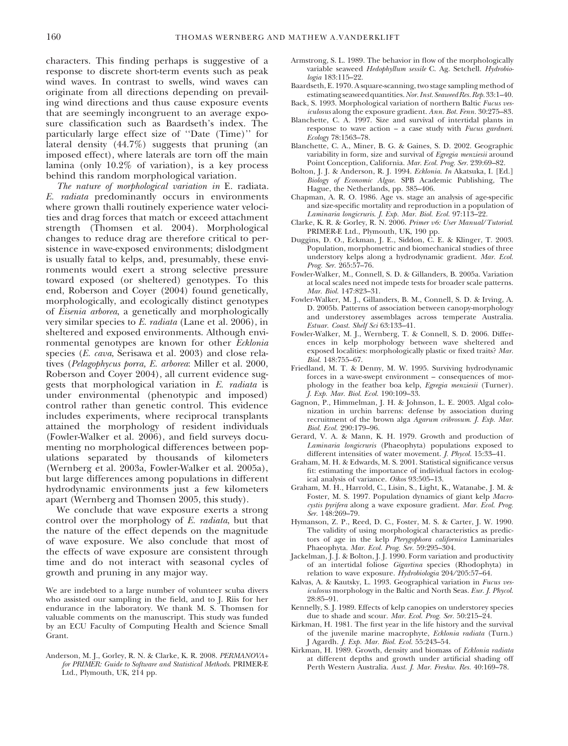characters. This finding perhaps is suggestive of a response to discrete short-term events such as peak wind waves. In contrast to swells, wind waves can originate from all directions depending on prevailing wind directions and thus cause exposure events that are seemingly incongruent to an average exposure classification such as Baardseth's index. The particularly large effect size of ''Date (Time)'' for lateral density (44.7%) suggests that pruning (an imposed effect), where laterals are torn off the main lamina (only 10.2% of variation), is a key process behind this random morphological variation.

The nature of morphological variation in E. radiata. E. radiata predominantly occurs in environments where grown thalli routinely experience water velocities and drag forces that match or exceed attachment strength (Thomsen et al. 2004). Morphological changes to reduce drag are therefore critical to persistence in wave-exposed environments; dislodgment is usually fatal to kelps, and, presumably, these environments would exert a strong selective pressure toward exposed (or sheltered) genotypes. To this end, Roberson and Coyer (2004) found genetically, morphologically, and ecologically distinct genotypes of Eisenia arborea, a genetically and morphologically very similar species to E. radiata (Lane et al. 2006), in sheltered and exposed environments. Although environmental genotypes are known for other Ecklonia species (E. cava, Serisawa et al. 2003) and close relatives (Pelagophycus porra, E. arborea: Miller et al. 2000, Roberson and Coyer 2004), all current evidence suggests that morphological variation in E. radiata is under environmental (phenotypic and imposed) control rather than genetic control. This evidence includes experiments, where reciprocal transplants attained the morphology of resident individuals (Fowler-Walker et al. 2006), and field surveys documenting no morphological differences between populations separated by thousands of kilometers (Wernberg et al. 2003a, Fowler-Walker et al. 2005a), but large differences among populations in different hydrodynamic environments just a few kilometers apart (Wernberg and Thomsen 2005, this study).

We conclude that wave exposure exerts a strong control over the morphology of E. radiata, but that the nature of the effect depends on the magnitude of wave exposure. We also conclude that most of the effects of wave exposure are consistent through time and do not interact with seasonal cycles of growth and pruning in any major way.

We are indebted to a large number of volunteer scuba divers who assisted our sampling in the field, and to J. Riis for her endurance in the laboratory. We thank M. S. Thomsen for valuable comments on the manuscript. This study was funded by an ECU Faculty of Computing Health and Science Small Grant.

Anderson, M. J., Gorley, R. N. & Clarke, K. R. 2008. PERMANOVA+ for PRIMER: Guide to Software and Statistical Methods. PRIMER-E Ltd., Plymouth, UK, 214 pp.

- Armstrong, S. L. 1989. The behavior in flow of the morphologically variable seaweed Hedophyllum sessile C. Ag. Setchell. Hydrobiologia 183:115–22.
- Baardseth, E. 1970. A square-scanning, two stage sampling method of estimating seaweed quantities. Nor. Inst. Seaweed Res. Rep. 33:1-40. Back, S. 1993. Morphological variation of northern Baltic Fucus ves-
- iculosus along the exposure gradient. Ann. Bot. Fenn. 30:275–83.
- Blanchette, C. A. 1997. Size and survival of intertidal plants in response to wave action – a case study with Fucus gardneri. Ecology 78:1563–78.
- Blanchette, C. A., Miner, B. G. & Gaines, S. D. 2002. Geographic variability in form, size and survival of Egregia menziesii around Point Conception, California. Mar. Ecol. Prog. Ser. 239:69–82.
- Bolton, J. J. & Anderson, R. J. 1994. Ecklonia. In Akatsuka, I. [Ed.] Biology of Economic Algae. SPB Academic Publishing, The Hague, the Netherlands, pp. 385–406.
- Chapman, A. R. O. 1986. Age vs. stage an analysis of age-specific and size-specific mortality and reproduction in a population of Laminaria longicruris. J. Exp. Mar. Biol. Ecol. 97:113–22.
- Clarke, K. R. & Gorley, R. N. 2006. Primer v6: User Manual/Tutorial. PRIMER-E Ltd., Plymouth, UK, 190 pp.
- Duggins, D. O., Eckman, J. E., Siddon, C. E. & Klinger, T. 2003. Population, morphometric and biomechanical studies of three understory kelps along a hydrodynamic gradient. Mar. Ecol. Prog. Ser. 265:57–76.
- Fowler-Walker, M., Connell, S. D. & Gillanders, B. 2005a. Variation at local scales need not impede tests for broader scale patterns. Mar. Biol. 147:823–31.
- Fowler-Walker, M. J., Gillanders, B. M., Connell, S. D. & Irving, A. D. 2005b. Patterns of association between canopy-morphology and understorey assemblages across temperate Australia. Estuar. Coast. Shelf Sci 63:133–41.
- Fowler-Walker, M. J., Wernberg, T. & Connell, S. D. 2006. Differences in kelp morphology between wave sheltered and exposed localities: morphologically plastic or fixed traits? Mar. Biol. 148:755–67.
- Friedland, M. T. & Denny, M. W. 1995. Surviving hydrodynamic forces in a wave-swept environment – consequences of morphology in the feather boa kelp, Egregia menziesii (Turner). J. Exp. Mar. Biol. Ecol. 190:109–33.
- Gagnon, P., Himmelman, J. H. & Johnson, L. E. 2003. Algal colonization in urchin barrens: defense by association during recruitment of the brown alga Agarum cribrosum. J. Exp. Mar. Biol. Ecol. 290:179–96.
- Gerard, V. A. & Mann, K. H. 1979. Growth and production of Laminaria longicruris (Phaeophyta) populations exposed to different intensities of water movement. J. Phycol. 15:33–41.
- Graham, M. H. & Edwards, M. S. 2001. Statistical significance versus fit: estimating the importance of individual factors in ecological analysis of variance. Oikos 93:505–13.
- Graham, M. H., Harrold, C., Lisin, S., Light, K., Watanabe, J. M. & Foster, M. S. 1997. Population dynamics of giant kelp Macrocystis pyrifera along a wave exposure gradient. Mar. Ecol. Prog. Ser. 148:269–79.
- Hymanson, Z. P., Reed, D. C., Foster, M. S. & Carter, J. W. 1990. The validity of using morphological characteristics as predictors of age in the kelp Pterygophora californica Laminariales Phaeophyta. Mar. Ecol. Prog. Ser. 59:295–304.
- Jackelman, J. J. & Bolton, J. J. 1990. Form variation and productivity of an intertidal foliose Gigartina species (Rhodophyta) in relation to wave exposure. Hydrobiologia 204/205:57-64.
- Kalvas, A. & Kautsky, L. 1993. Geographical variation in Fucus vesiculosus morphology in the Baltic and North Seas. Eur. J. Phycol. 28:85–91.
- Kennelly, S. J. 1989. Effects of kelp canopies on understorey species due to shade and scour. Mar. Ecol. Prog. Ser. 50:215–24.
- Kirkman, H. 1981. The first year in the life history and the survival of the juvenile marine macrophyte, Ecklonia radiata (Turn.) J Agardh. J. Exp. Mar. Biol. Ecol. 55:243–54.
- Kirkman, H. 1989. Growth, density and biomass of Ecklonia radiata at different depths and growth under artificial shading off Perth Western Australia. Aust. J. Mar. Freshw. Res. 40:169–78.